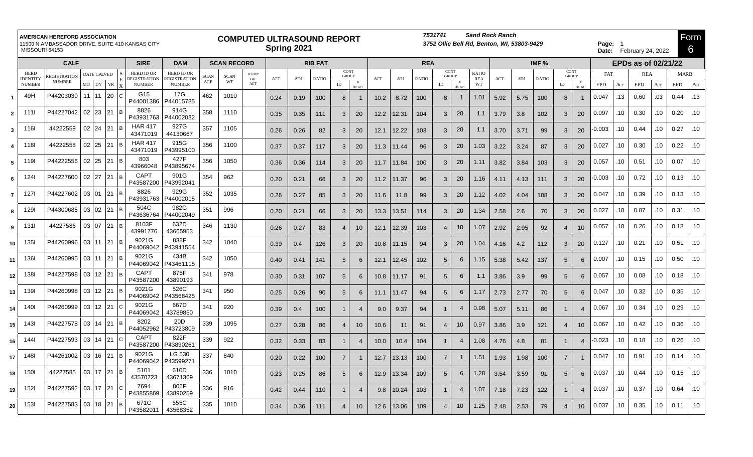|                | MISSOURI 64153                           | <b>AMERICAN HEREFORD ASSOCIATION</b><br>11500 N AMBASSADOR DRIVE, SUITE 410 KANSAS CITY |                      |              |     | <b>COMPUTED ULTRASOUND REPORT</b><br>Spring 2021 |                                         |             |                    |                    |      |                |              |                      | 7531741<br><b>Sand Rock Ranch</b><br>3752 Ollie Bell Rd, Benton, WI, 53803-9429 |      |            |              |    |                      |                            |         |      |              |                             | Page: 1<br>Date: February 24, 2022 |            |                     |            |     |             |     |
|----------------|------------------------------------------|-----------------------------------------------------------------------------------------|----------------------|--------------|-----|--------------------------------------------------|-----------------------------------------|-------------|--------------------|--------------------|------|----------------|--------------|----------------------|---------------------------------------------------------------------------------|------|------------|--------------|----|----------------------|----------------------------|---------|------|--------------|-----------------------------|------------------------------------|------------|---------------------|------------|-----|-------------|-----|
|                | <b>SIRE</b><br><b>DAM</b><br><b>CALF</b> |                                                                                         |                      |              |     |                                                  |                                         |             | <b>SCAN RECORD</b> |                    |      | <b>RIB FAT</b> |              |                      |                                                                                 |      | <b>REA</b> |              |    |                      |                            | IMF $%$ |      |              |                             |                                    |            | EPDs as of 02/21/22 |            |     |             |     |
|                | <b>HERD</b><br><b>IDENTITY</b>           | REGISTRATIOI                                                                            | DATE CALVED          |              |     | <b>HERD ID OR</b><br>REGISTRATION                | <b>HERD ID OR</b><br><b>EGISTRATION</b> | <b>SCAN</b> | <b>SCAN</b>        | <b>RUMP</b><br>FAT | ACT  | ADJ            | <b>RATIO</b> | CONT<br><b>GROUP</b> |                                                                                 | ACT  | ADJ        | <b>RATIO</b> |    | CONT<br><b>GROUP</b> | <b>RATIO</b><br><b>REA</b> | ACT     | ADJ  | <b>RATIO</b> | CONT<br><b>GROUP</b>        |                                    | FAT        |                     | <b>REA</b> |     | <b>MARB</b> |     |
|                | <b>NUMBER</b>                            | <b>NUMBER</b>                                                                           | MO DY                | YR           |     | <b>NUMBER</b>                                    | <b>NUMBER</b>                           | $\rm{AGE}$  | WT                 | ACT                |      |                |              | ID                   | <b>HEAD</b>                                                                     |      |            |              | ID | <b>HEAD</b>          | WT                         |         |      |              | $\rm ID$                    | <b>HEAD</b>                        | <b>EPD</b> | Acc                 | <b>EPD</b> | Acc | <b>EPD</b>  | Acc |
|                | 49H                                      | P44203030                                                                               | 11 11                | 20           |     | G15<br>P44001386                                 | 17G<br>P44015785                        | 462         | 1010               |                    | 0.24 | 0.19           | 100          | 8                    |                                                                                 | 10.2 | 8.72       | 100          | 8  | -1                   | 1.01                       | 5.92    | 5.75 | 100          | 8                           |                                    | 0.047      | .13                 | 0.60       | .03 | 0.44        | .13 |
| $\overline{2}$ | 1111                                     | P44227042                                                                               | 02 23                | 21           | l R | 8826<br>P43931763                                | 914G<br>P44002032                       | 358         | 1110               |                    | 0.35 | 0.35           | 111          | 3                    | 20                                                                              | 12.2 | 12.31      | 104          | 3  | 20                   | 1.1                        | 3.79    | 3.8  | 102          | 3                           | 20                                 | 0.097      | 10                  | 0.30       | .10 | 0.20        | .10 |
| 3              | <b>116l</b>                              | 44222559                                                                                | 02 24                | 21 B         |     | <b>HAR 417</b><br>43471019                       | 927G<br>44130667                        | 357         | 1105               |                    | 0.26 | 0.26           | 82           |                      | 20                                                                              | 12.1 | 12.22      | 103          | 3  | 20                   | 1.1                        | 3.70    | 3.71 | 99           | 3                           | 20                                 | $-0.003$   | .10                 | 0.44       | .10 | 0.27        | .10 |
| 4              | <b>118</b>                               | 44222558                                                                                | 02 25                | 21 B         |     | <b>HAR 417</b><br>43471019                       | 915G<br>P43995100                       | 356         | 1100               |                    | 0.37 | 0.37           | 117          |                      | 20                                                                              | 11.3 | 11.44      | 96           | 3  | 20                   | 1.03                       | 3.22    | 3.24 | 87           | 3                           | 20                                 | 0.027      | .10                 | 0.30       | .10 | 0.22        | .10 |
| 5              | 1191                                     | P44222556                                                                               | 02 25                | 21           | l B | 803<br>43966048                                  | 427F<br>P43895674                       | 356         | 1050               |                    | 0.36 | 0.36           | 114          | 3                    | 20                                                                              | 11.7 | 11.84      | 100          | 3  | 20                   | 1.11                       | 3.82    | 3.84 | 103          | 3                           | 20                                 | 0.057      | 10                  | 0.51       | .10 | 0.07        | .10 |
| 6              | 1241                                     | P44227600                                                                               | 02 27                | 21 B         |     | <b>CAPT</b><br>P43587200                         | 901G<br>P43992041                       | 354         | 962                |                    | 0.20 | 0.21           | 66           | 3                    | 20                                                                              | 11.2 | 11.37      | 96           | 3  | 20                   | 1.16                       | 4.11    | 4.13 | 111          | 3                           | 20                                 | $-0.003$   | .10                 | 0.72       | .10 | 0.13        | .10 |
| $\overline{7}$ | 1271                                     | P44227602                                                                               | 03 01                | 21           | l R | 8826<br>P43931763                                | 929G<br>P44002015                       | 352         | 1035               |                    | 0.26 | 0.27           | 85           | 3                    | 20                                                                              | 11.6 | 11.8       | 99           | 3  | 20                   | 1.12                       | 4.02    | 4.04 | 108          | 3                           | 20                                 | 0.047      | .10                 | 0.39       | .10 | 0.13        | .10 |
| 8              | 1291                                     | P44300685                                                                               | 03 02                | 21           | l R | 504C<br>P43636764                                | 982G<br>P44002049                       | 351         | 996                |                    | 0.20 | 0.21           | 66           | 3                    | 20                                                                              | 13.3 | 13.51      | 114          | 3  | 20                   | 1.34                       | 2.58    | 2.6  | 70           | 3                           | 20                                 | 0.027      | .10                 | 0.87       | .10 | 0.31        | .10 |
| 9              | 1311                                     | 44227586                                                                                | 03 07                | 21 B         |     | 8103F<br>43991776                                | 632D<br>43665953                        | 346         | 1130               |                    | 0.26 | 0.27           | 83           |                      | 10                                                                              | 12.1 | 12.39      | 103          |    | 10                   | 1.07                       | 2.92    | 2.95 | 92           | $\boldsymbol{\vartriangle}$ | 10 <sup>1</sup>                    | 0.057      | .10                 | 0.26       | .10 | 0.18        | .10 |
| 10             | <b>1351</b>                              | P44260996                                                                               | 03 11                | 21 B         |     | 9021G<br>P44069042                               | 838F<br>P43941554                       | 342         | 1040               |                    | 0.39 | 0.4            | 126          |                      | 20                                                                              | 10.8 | 11.15      | 94           | 3  | 20                   | 1.04                       | 4.16    | 4.2  | 112          | 3                           | 20                                 | 0.127      | 10                  | 0.21       | .10 | 0.51        | .10 |
| 11             | 1361                                     | P44260995                                                                               | 03 11                | $ 21\rangle$ | l R | 9021G<br>P44069042                               | 434B<br>P43461115                       | 342         | 1050               |                    | 0.40 | 0.41           | 141          | 5                    | 6                                                                               | 12.1 | 12.45      | 102          | 5  | 6                    | 1.15                       | 5.38    | 5.42 | 137          | 5                           | 6                                  | 0.007      | 10                  | 0.15       | .10 | 0.50        | .10 |
| 12             | 1381                                     | P44227598                                                                               | $03 \mid 12 \mid 21$ |              | l B | CAPT<br>P43587200                                | 875F<br>43890193                        | 341         | 978                |                    | 0.30 | 0.31           | 107          | $\overline{5}$       | 6                                                                               | 10.8 | 11.17      | 91           | 5  | 6                    | 1.1                        | 3.86    | 3.9  | 99           | 5                           | 6                                  | 0.057      | 10                  | 0.08       | .10 | 0.18        | .10 |
| 13             | 1391                                     | P44260998                                                                               | $03 \mid 12 \mid 21$ |              |     | 9021G<br>P44069042                               | 526C<br>P43568425                       | 341         | 950                |                    | 0.25 | 0.26           | 90           | 5                    | 6                                                                               | 11.1 | 11.47      | 94           | 5  | 6                    | 1.17                       | 2.73    | 2.77 | 70           | 5                           | 6                                  | 0.047      | .10                 | 0.32       | .10 | 0.35        | .10 |
| 14             | 1401                                     | P44260999                                                                               | 03 12                | $ 21\rangle$ |     | 9021G<br>P44069042                               | 667D<br>43789850                        | 341         | 920                |                    | 0.39 | 0.4            | 100          |                      |                                                                                 | 9.0  | 9.37       | 94           |    | $\overline{4}$       | 0.98                       | 5.07    | 5.11 | 86           |                             |                                    | 0.067      | .10                 | 0.34       | .10 | 0.29        | .10 |
| 15             | 1431                                     | P44227578                                                                               | 03 14                | 21 B         |     | 8202<br>P44052962                                | 20 <sub>D</sub><br>P43723809            | 339         | 1095               |                    | 0.27 | 0.28           | 86           |                      | 10                                                                              | 10.6 | 11         | 91           |    | 10                   | 0.97                       | 3.86    | 3.9  | 121          | $\overline{4}$              | 10 <sup>1</sup>                    | 0.067      | .10                 | 0.42       | .10 | 0.36        | .10 |
| 16             | 1441                                     | P44227593                                                                               | 03 14                | $ 21\rangle$ |     | <b>CAPT</b>                                      | 822F                                    | 339         | 922                |                    | 0.32 | 0.33           | 83           |                      | -4                                                                              | 10.0 | 10.4       | 104          |    | $\overline{4}$       | 1.08                       | 4.76    | 4.8  | 81           |                             | $\Delta$                           | $-0.023$   | 10                  | 0.18       | .10 | 0.26        | .10 |
| 17             | 148I                                     | P44261002                                                                               | 03 16                | $ 21\rangle$ | l B | P43587200<br>9021G                               | P43890261<br>LG 530                     | 337         | 840                |                    | 0.20 | 0.22           | 100          |                      |                                                                                 | 12.7 | 13.13      | 100          |    | -1                   | 1.51                       | 1.93    | 1.98 | 100          | 7                           |                                    | 0.047      | 10                  | 0.91       | .10 | 0.14        | .10 |
| 18             | 150                                      | 44227585                                                                                | 03 17                | 21 B         |     | P44069042<br>5101                                | P43599271<br>610D                       | 336         | 1010               |                    | 0.23 | 0.25           | 86           | 5                    | 6                                                                               | 12.9 | 13.34      | 109          | 5  | 6                    | 1.28                       | 3.54    | 3.59 | 91           | 5                           | 6                                  | 0.037      | .10                 | 0.44       | .10 | 0.15        | .10 |
| 19             | <b>1521</b>                              | P44227592                                                                               | 03 17                | $ 21\rangle$ |     | 43570723<br>7694                                 | 43671369<br>806F                        | 336         | 916                |                    | 0.42 | 0.44           | 110          |                      | -4                                                                              | 9.8  | 10.24      | 103          |    | $\overline{4}$       | 1.07                       | 7.18    | 7.23 | 122          |                             | $\overline{4}$                     | 0.037      | .10                 | 0.37       | .10 | 0.64        | .10 |
| 20             | 1531                                     | P44227583                                                                               | 03 18                | $ 21\rangle$ | l B | P43855869<br>671C                                | 43890259<br>555C                        | 335         | 1010               |                    | 0.34 | 0.36           | 111          |                      | 10                                                                              | 12.6 | 13.06      | 109          |    | 10 <sup>°</sup>      | 1.25                       | 2.48    | 2.53 | 79           | $\overline{4}$              | 10 <sup>1</sup>                    | 0.037      | .10                 | 0.35       | .10 | 0.11        | .10 |
|                |                                          |                                                                                         |                      |              |     | P43582011                                        | 43568352                                |             |                    |                    |      |                |              |                      |                                                                                 |      |            |              |    |                      |                            |         |      |              |                             |                                    |            |                     |            |     |             |     |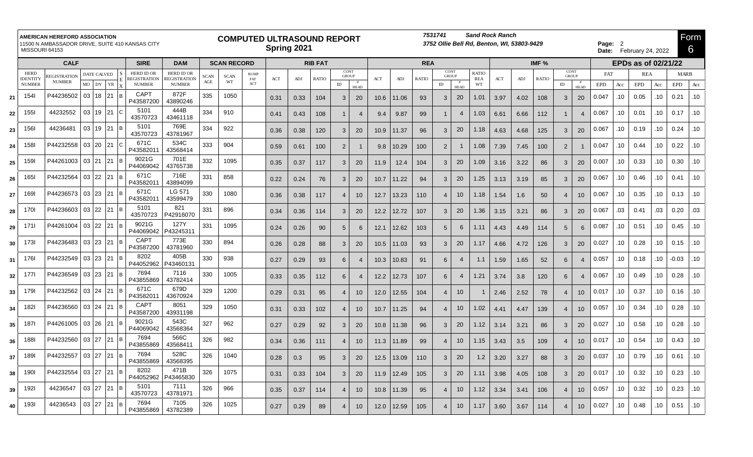| <b>AMERICAN HEREFORD ASSOCIATION</b><br>11500 N AMBASSADOR DRIVE, SUITE 410 KANSAS CITY<br>MISSOURI 64153<br><b>SIRE</b><br><b>CALF</b> |                                |                                                                                                                                                                                                                                                                                                                                                                                                                                                                                                                                                                                                                                                                   |       |  |            |                                   |                                   | <b>COMPUTED ULTRASOUND REPORT</b><br>Spring 2021 |                    |                    |                |      |              |                      |                |      |                                  |              | 7531741              |                | <b>Sand Rock Ranch</b><br>3752 Ollie Bell Rd, Benton, WI, 53803-9429 |      |              |              | Form<br>Page: 2<br>6<br>Date: February 24, 2022 |                |            |     |                     |     |             |     |
|-----------------------------------------------------------------------------------------------------------------------------------------|--------------------------------|-------------------------------------------------------------------------------------------------------------------------------------------------------------------------------------------------------------------------------------------------------------------------------------------------------------------------------------------------------------------------------------------------------------------------------------------------------------------------------------------------------------------------------------------------------------------------------------------------------------------------------------------------------------------|-------|--|------------|-----------------------------------|-----------------------------------|--------------------------------------------------|--------------------|--------------------|----------------|------|--------------|----------------------|----------------|------|----------------------------------|--------------|----------------------|----------------|----------------------------------------------------------------------|------|--------------|--------------|-------------------------------------------------|----------------|------------|-----|---------------------|-----|-------------|-----|
|                                                                                                                                         |                                | DATE CALVED<br>REGISTRATION<br><b>NUMBER</b><br>$MO$ DY<br>${\it YR}$<br>P44236502<br>03 18<br>121 IB<br>03 19<br>21<br>44232552<br>۱C.<br>$03$ 19 21 B<br>44236481<br>P44232558<br>03 20<br>21<br>P44261003<br>03 21<br>l 21<br>ΙB<br>P44232564<br>03 22 21 B<br>P44236573<br>03 23<br>121 Ів<br>03 22<br>P44236603<br>21 B<br>$03$ 22 21 B<br>P44261004<br>$03$ 23 21 B<br>P44236483<br>P44232549<br>$03$ 23 21 B<br>P44236549<br>$03$ 23 21 B<br>P44232562<br>03 24 21<br>ΙB<br>03 24 21 B<br>P44236560<br>P44261005   03   26<br>121 Ів<br>03 27 21<br>P44232560<br>P44232557<br>03 27<br>121 IB<br>03 27 21 B<br>P44232554<br>03 27<br>21<br>44236547<br>l R |       |  |            |                                   | <b>DAM</b>                        |                                                  | <b>SCAN RECORD</b> |                    | <b>RIB FAT</b> |      |              |                      |                |      |                                  | <b>REA</b>   |                      |                |                                                                      |      |              | IMF $%$      |                                                 |                |            |     | EPDs as of 02/21/22 |     |             |     |
|                                                                                                                                         | <b>HERD</b><br><b>IDENTITY</b> |                                                                                                                                                                                                                                                                                                                                                                                                                                                                                                                                                                                                                                                                   |       |  |            | <b>HERD ID OR</b><br>REGISTRATION | <b>HERD ID OR</b><br>REGISTRATION | <b>SCAN</b>                                      | <b>SCAN</b>        | <b>RUMP</b><br>FAT | ACT            | ADJ  | <b>RATIO</b> | CONT<br><b>GROUP</b> |                | ACT  | $\mathbf{A}\mathbf{D}\mathbf{J}$ | <b>RATIO</b> | CONT<br><b>GROUP</b> |                | <b>RATIO</b><br><b>REA</b>                                           | ACT  | $\mbox{ADJ}$ | <b>RATIO</b> | <b>CONT</b><br><b>GROUP</b>                     |                | FAT        |     | <b>REA</b>          |     | <b>MARB</b> |     |
|                                                                                                                                         | <b>NUMBER</b>                  |                                                                                                                                                                                                                                                                                                                                                                                                                                                                                                                                                                                                                                                                   |       |  |            | <b>NUMBER</b>                     | <b>NUMBER</b>                     | $\rm{AGE}$                                       | WT                 | ACT                |                |      |              | ID                   | <b>HEAD</b>    |      |                                  |              | ID                   | <b>HEAD</b>    | WT                                                                   |      |              |              | ID                                              | <b>HEAD</b>    | <b>EPD</b> | Acc | <b>EPD</b>          | Acc | <b>EPD</b>  | Acc |
| 21                                                                                                                                      | <b>1541</b>                    |                                                                                                                                                                                                                                                                                                                                                                                                                                                                                                                                                                                                                                                                   |       |  |            | CAPT<br>P43587200                 | 872F<br>43890246                  | 335                                              | 1050               |                    | 0.31           | 0.33 | 104          | 3                    | 20             | 10.6 | 11.06                            | 93           | 3                    | 20             | 1.01                                                                 | 3.97 | 4.02         | 108          | 3                                               | 20             | 0.047      | .10 | 0.05                | .10 | 0.21        | .10 |
| 22                                                                                                                                      | <b>1551</b>                    |                                                                                                                                                                                                                                                                                                                                                                                                                                                                                                                                                                                                                                                                   |       |  |            | 5101<br>43570723                  | 444B<br>43461118                  | 334                                              | 910                |                    | 0.41           | 0.43 | 108          | 1                    | $\overline{4}$ | 9.4  | 9.87                             | 99           | $\mathbf{1}$         | $\overline{4}$ | 1.03                                                                 | 6.61 | 6.66         | 112          | -1                                              | 4              | 0.067      | .10 | 0.01                | .10 | 0.17        | .10 |
| 23                                                                                                                                      | <b>1561</b>                    |                                                                                                                                                                                                                                                                                                                                                                                                                                                                                                                                                                                                                                                                   |       |  |            | 5101<br>43570723                  | 769E<br>43781967                  | 334                                              | 922                |                    | 0.36           | 0.38 | 120          | 3                    | 20             | 10.9 | 11.37                            | 96           | 3                    | 20             | 1.18                                                                 | 4.63 | 4.68         | 125          | 3                                               | 20             | 0.067      | .10 | 0.19                | .10 | 0.24        | .10 |
| 24                                                                                                                                      | 158I                           |                                                                                                                                                                                                                                                                                                                                                                                                                                                                                                                                                                                                                                                                   |       |  |            | 671C<br>P43582011                 | 534C<br>43568414                  | 333                                              | 904                |                    | 0.59           | 0.61 | 100          | 2                    |                | 9.8  | 10.29                            | 100          | 2                    | $\overline{1}$ | 1.08                                                                 | 7.39 | 7.45         | 100          | $\overline{2}$                                  |                | 0.047      | .10 | 0.44                | .10 | 0.22        | .10 |
| 25                                                                                                                                      | 159I                           |                                                                                                                                                                                                                                                                                                                                                                                                                                                                                                                                                                                                                                                                   |       |  |            | 9021G<br>P44069042                | 701E<br>43765738                  | 332                                              | 1095               |                    | 0.35           | 0.37 | 117          | 3                    | 20             | 11.9 | 12.4                             | 104          | 3                    | 20             | 1.09                                                                 | 3.16 | 3.22         | 86           | 3                                               | 20             | 0.007      | .10 | 0.33                | .10 | 0.30        | .10 |
| 26                                                                                                                                      | <b>1651</b>                    |                                                                                                                                                                                                                                                                                                                                                                                                                                                                                                                                                                                                                                                                   |       |  |            | 671C<br>P43582011                 | 716E<br>43894099                  | 331                                              | 858                |                    | 0.22           | 0.24 | 76           | 3                    | 20             | 10.7 | 11.22                            | 94           | 3                    | 20             | 1.25                                                                 | 3.13 | 3.19         | 85           | 3                                               | 20             | 0.067      | .10 | 0.46                | .10 | 0.41        | .10 |
| 27                                                                                                                                      | 1691                           |                                                                                                                                                                                                                                                                                                                                                                                                                                                                                                                                                                                                                                                                   |       |  |            | 671C<br>P43582011                 | LG 571<br>43599479                | 330                                              | 1080               |                    | 0.36           | 0.38 | 117          |                      | 10             | 12.7 | 13.23                            | 110          |                      | 10             | 1.18                                                                 | 1.54 | 1.6          | 50           | 4                                               | 10             | 0.067      | .10 | 0.35                | .10 | 0.13        | .10 |
| 28                                                                                                                                      | 170I                           |                                                                                                                                                                                                                                                                                                                                                                                                                                                                                                                                                                                                                                                                   |       |  |            | 5101<br>43570723                  | 821<br>P42916070                  | 331                                              | 896                |                    | 0.34           | 0.36 | 114          | 3                    | 20             | 12.2 | 12.72                            | 107          | 3                    | 20             | 1.36                                                                 | 3.15 | 3.21         | 86           | 3                                               | 20             | 0.067      | .03 | 0.41                | .03 | 0.20        | .03 |
| 29                                                                                                                                      | 1711                           |                                                                                                                                                                                                                                                                                                                                                                                                                                                                                                                                                                                                                                                                   |       |  |            | 9021G<br>P44069042                | 127Y<br>P43245311                 | 331                                              | 1095               |                    | 0.24           | 0.26 | 90           | 5                    | -6             | 12.1 | 12.62                            | 103          | $\overline{5}$       | 6              | 1.11                                                                 | 4.43 | 4.49         | 114          | 5                                               | 6              | 0.087      | .10 | 0.51                | .10 | 0.45        | .10 |
| 30                                                                                                                                      | 1731                           |                                                                                                                                                                                                                                                                                                                                                                                                                                                                                                                                                                                                                                                                   |       |  |            | <b>CAPT</b><br>P43587200          | 773E<br>43781960                  | 330                                              | 894                |                    | 0.26           | 0.28 | 88           | 3                    | 20             | 10.5 | 11.03                            | 93           | 3                    | 20             | 1.17                                                                 | 4.66 | 4.72         | 126          | 3                                               | 20             | 0.027      | .10 | 0.28                | .10 | 0.15        | .10 |
| 31                                                                                                                                      | 176I                           |                                                                                                                                                                                                                                                                                                                                                                                                                                                                                                                                                                                                                                                                   |       |  |            | 8202<br>P44052962                 | 405B<br>P43460131                 | 330                                              | 938                |                    | 0.27           | 0.29 | 93           | 6                    | $\overline{4}$ | 10.3 | 10.83                            | 91           | 6                    | $\overline{4}$ | 1.1                                                                  | 1.59 | 1.65         | 52           | 6                                               | $\overline{4}$ | 0.057      | .10 | 0.18                | .10 | -0.03       | .10 |
| 32                                                                                                                                      | 1771                           |                                                                                                                                                                                                                                                                                                                                                                                                                                                                                                                                                                                                                                                                   |       |  |            | 7694<br>P43855869                 | 7116<br>43782414                  | 330                                              | 1005               |                    | 0.33           | 0.35 | 112          | 6                    | $\overline{4}$ | 12.2 | 12.73                            | 107          | 6                    | $\overline{4}$ | 1.21                                                                 | 3.74 | 3.8          | 120          | 6                                               | 4              | 0.067      | .10 | 0.49                | .10 | 0.28        | .10 |
| 33                                                                                                                                      | 1791                           |                                                                                                                                                                                                                                                                                                                                                                                                                                                                                                                                                                                                                                                                   |       |  |            | 671C<br>P43582011                 | 679D<br>43670924                  | 329                                              | 1200               |                    | 0.29           | 0.31 | 95           |                      | 10             | 12.0 | 12.55                            | 104          |                      | 10             |                                                                      | 2.46 | 2.52         | 78           | 4                                               | 10             | 0.017      | .10 | 0.37                | .10 | 0.16        | .10 |
| 34                                                                                                                                      | 182I                           |                                                                                                                                                                                                                                                                                                                                                                                                                                                                                                                                                                                                                                                                   |       |  |            | <b>CAPT</b><br>P43587200          | 8051<br>43931198                  | 329                                              | 1050               |                    | 0.31           | 0.33 | 102          | 4                    | 10             | 10.7 | 11.25                            | 94           | 4                    | 10             | 1.02                                                                 | 4.41 | 4.47         | 139          | 4                                               | 10             | 0.057      | .10 | 0.34                | .10 | 0.28        | .10 |
| 35                                                                                                                                      | 1871                           |                                                                                                                                                                                                                                                                                                                                                                                                                                                                                                                                                                                                                                                                   |       |  |            | 9021G<br>P44069042                | 543C<br>43568364                  | 327                                              | 962                |                    | 0.27           | 0.29 | 92           | 3                    | 20             | 10.8 | 11.38                            | 96           | 3                    | 20             | 1.12                                                                 | 3.14 | 3.21         | 86           | 3                                               | 20             | 0.027      | .10 | 0.58                | .10 | 0.28        | .10 |
| 36                                                                                                                                      | 188I                           |                                                                                                                                                                                                                                                                                                                                                                                                                                                                                                                                                                                                                                                                   |       |  |            | 7694<br>P43855869                 | 566C<br>43568411                  | 326                                              | 982                |                    | 0.34           | 0.36 | 111          |                      | 10             | 11.3 | 11.89                            | 99           |                      | 10             | 1.15                                                                 | 3.43 | 3.5          | 109          | 4                                               | 10             | 0.017      | .10 | 0.54                | .10 | 0.43        | .10 |
| 37                                                                                                                                      | 189I                           |                                                                                                                                                                                                                                                                                                                                                                                                                                                                                                                                                                                                                                                                   |       |  |            | 7694                              | 528C                              | 326                                              | 1040               |                    | 0.28           | 0.3  | 95           | 3                    | 20             | 12.5 | 13.09                            | 110          | 3                    | 20             | 1.2                                                                  | 3.20 | 3.27         | 88           | 3                                               | 20             | 0.037      | .10 | 0.79                | .10 | 0.61        | .10 |
| 38                                                                                                                                      | 1901                           |                                                                                                                                                                                                                                                                                                                                                                                                                                                                                                                                                                                                                                                                   |       |  |            | P43855869<br>8202                 | 43568395<br>471B                  | 326                                              | 1075               |                    | 0.31           | 0.33 | 104          | 3                    | 20             | 11.9 | 12.49                            | 105          | 3                    | 20             | 1.11                                                                 | 3.98 | 4.05         | 108          | 3                                               | 20             | 0.017      | .10 | 0.32                | .10 | 0.23        | .10 |
| 39                                                                                                                                      | 192I                           |                                                                                                                                                                                                                                                                                                                                                                                                                                                                                                                                                                                                                                                                   |       |  |            | P44052962<br>5101                 | P43465830<br>7111                 | 326                                              | 966                |                    | 0.35           | 0.37 | 114          |                      | 10             | 10.8 | 11.39                            | 95           |                      | 10             | 1.12                                                                 | 3.34 | 3.41         | 106          | 4                                               | 10             | 0.057      | .10 | 0.32                | .10 | 0.23        | .10 |
| 40                                                                                                                                      | 193I                           | 44236543                                                                                                                                                                                                                                                                                                                                                                                                                                                                                                                                                                                                                                                          | 03 27 |  | l 21<br>IВ | 43570723<br>7694                  | 43781971<br>7105                  | 326                                              | 1025               |                    | 0.27           | 0.29 | 89           |                      | 10             | 12.0 | 12.59                            | 105          |                      | 10             | 1.17                                                                 | 3.60 | 3.67         | 114          | 4                                               | 10             | 0.027      | .10 | 0.48                | .10 | 0.51        | .10 |
|                                                                                                                                         |                                |                                                                                                                                                                                                                                                                                                                                                                                                                                                                                                                                                                                                                                                                   |       |  |            | P43855869                         | 43782389                          |                                                  |                    |                    |                |      |              |                      |                |      |                                  |              |                      |                |                                                                      |      |              |              |                                                 |                |            |     |                     |     |             |     |